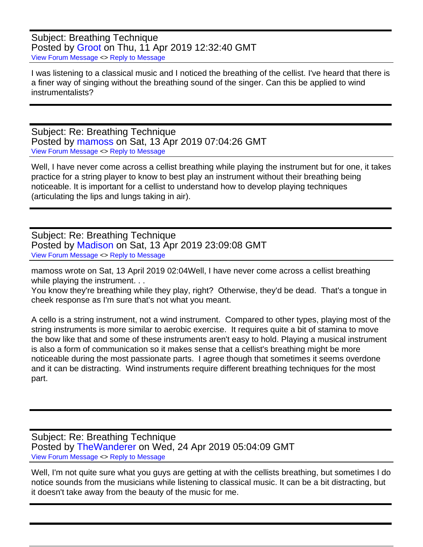Subject: Breathing Technique Posted by [Groot](https://audioroundtable.com/forum/index.php?t=usrinfo&id=8438) on Thu, 11 Apr 2019 12:32:40 GMT [View Forum Message](https://audioroundtable.com/forum/index.php?t=rview&th=22443&goto=90097#msg_90097) <> [Reply to Message](https://audioroundtable.com/forum/index.php?t=post&reply_to=90097)

I was listening to a classical music and I noticed the breathing of the cellist. I've heard that there is a finer way of singing without the breathing sound of the singer. Can this be applied to wind instrumentalists?

Subject: Re: Breathing Technique Posted by [mamoss](https://audioroundtable.com/forum/index.php?t=usrinfo&id=7471) on Sat, 13 Apr 2019 07:04:26 GMT [View Forum Message](https://audioroundtable.com/forum/index.php?t=rview&th=22443&goto=90109#msg_90109) <> [Reply to Message](https://audioroundtable.com/forum/index.php?t=post&reply_to=90109)

Well, I have never come across a cellist breathing while playing the instrument but for one, it takes practice for a string player to know to best play an instrument without their breathing being noticeable. It is important for a cellist to understand how to develop playing techniques (articulating the lips and lungs taking in air).

Subject: Re: Breathing Technique Posted by [Madison](https://audioroundtable.com/forum/index.php?t=usrinfo&id=7956) on Sat, 13 Apr 2019 23:09:08 GMT [View Forum Message](https://audioroundtable.com/forum/index.php?t=rview&th=22443&goto=90114#msg_90114) <> [Reply to Message](https://audioroundtable.com/forum/index.php?t=post&reply_to=90114)

mamoss wrote on Sat, 13 April 2019 02:04Well, I have never come across a cellist breathing while playing the instrument. . .

You know they're breathing while they play, right? Otherwise, they'd be dead. That's a tongue in cheek response as I'm sure that's not what you meant.

A cello is a string instrument, not a wind instrument. Compared to other types, playing most of the string instruments is more similar to aerobic exercise. It requires quite a bit of stamina to move the bow like that and some of these instruments aren't easy to hold. Playing a musical instrument is also a form of communication so it makes sense that a cellist's breathing might be more noticeable during the most passionate parts. I agree though that sometimes it seems overdone and it can be distracting. Wind instruments require different breathing techniques for the most part.

Subject: Re: Breathing Technique Posted by [TheWanderer](https://audioroundtable.com/forum/index.php?t=usrinfo&id=8551) on Wed, 24 Apr 2019 05:04:09 GMT [View Forum Message](https://audioroundtable.com/forum/index.php?t=rview&th=22443&goto=90147#msg_90147) <> [Reply to Message](https://audioroundtable.com/forum/index.php?t=post&reply_to=90147)

Well, I'm not quite sure what you guys are getting at with the cellists breathing, but sometimes I do notice sounds from the musicians while listening to classical music. It can be a bit distracting, but it doesn't take away from the beauty of the music for me.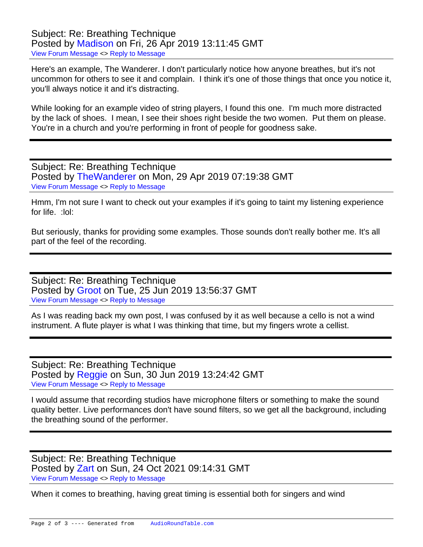Subject: Re: Breathing Technique Posted by [Madison](https://audioroundtable.com/forum/index.php?t=usrinfo&id=7956) on Fri, 26 Apr 2019 13:11:45 GMT [View Forum Message](https://audioroundtable.com/forum/index.php?t=rview&th=22443&goto=90162#msg_90162) <> [Reply to Message](https://audioroundtable.com/forum/index.php?t=post&reply_to=90162)

Here's an example, The Wanderer. I don't particularly notice how anyone breathes, but it's not uncommon for others to see it and complain. I think it's one of those things that once you notice it, you'll always notice it and it's distracting.

While looking for an example video of string players, I found this one. I'm much more distracted by the lack of shoes. I mean, I see their shoes right beside the two women. Put them on please. You're in a church and you're performing in front of people for goodness sake.

Subject: Re: Breathing Technique Posted by [TheWanderer](https://audioroundtable.com/forum/index.php?t=usrinfo&id=8551) on Mon, 29 Apr 2019 07:19:38 GMT [View Forum Message](https://audioroundtable.com/forum/index.php?t=rview&th=22443&goto=90187#msg_90187) <> [Reply to Message](https://audioroundtable.com/forum/index.php?t=post&reply_to=90187)

Hmm, I'm not sure I want to check out your examples if it's going to taint my listening experience for life. :lol:

But seriously, thanks for providing some examples. Those sounds don't really bother me. It's all part of the feel of the recording.

Subject: Re: Breathing Technique Posted by [Groot](https://audioroundtable.com/forum/index.php?t=usrinfo&id=8438) on Tue, 25 Jun 2019 13:56:37 GMT [View Forum Message](https://audioroundtable.com/forum/index.php?t=rview&th=22443&goto=90507#msg_90507) <> [Reply to Message](https://audioroundtable.com/forum/index.php?t=post&reply_to=90507)

As I was reading back my own post, I was confused by it as well because a cello is not a wind instrument. A flute player is what I was thinking that time, but my fingers wrote a cellist.

Subject: Re: Breathing Technique Posted by [Reggie](https://audioroundtable.com/forum/index.php?t=usrinfo&id=8534) on Sun, 30 Jun 2019 13:24:42 GMT [View Forum Message](https://audioroundtable.com/forum/index.php?t=rview&th=22443&goto=90575#msg_90575) <> [Reply to Message](https://audioroundtable.com/forum/index.php?t=post&reply_to=90575)

I would assume that recording studios have microphone filters or something to make the sound quality better. Live performances don't have sound filters, so we get all the background, including the breathing sound of the performer.

Subject: Re: Breathing Technique Posted by [Zart](https://audioroundtable.com/forum/index.php?t=usrinfo&id=8924) on Sun, 24 Oct 2021 09:14:31 GMT [View Forum Message](https://audioroundtable.com/forum/index.php?t=rview&th=22443&goto=94667#msg_94667) <> [Reply to Message](https://audioroundtable.com/forum/index.php?t=post&reply_to=94667)

When it comes to breathing, having great timing is essential both for singers and wind